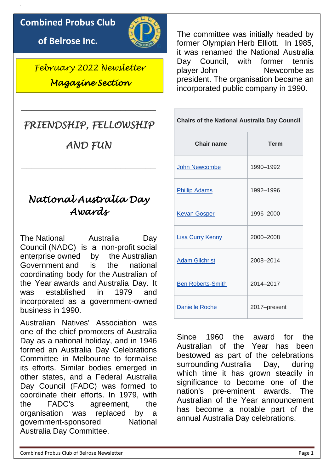### **Combined Probus Club**

**of Belrose Inc.**



*February 2022 Newsletter Magazine Section* 

# *FRIENDSHIP, FELLOWSHIP*

\_\_\_\_\_\_\_\_\_\_\_\_\_\_\_\_\_\_\_\_\_\_\_\_\_\_\_

*AND FUN* 

\_\_\_\_\_\_\_\_\_\_\_\_\_\_\_\_\_\_\_\_\_\_\_\_\_\_\_

# *National Australia Day Awards*

The National Australia Day Council (NADC) is a non-profit [social](https://en.wikipedia.org/wiki/Social_enterprise)  [enterprise](https://en.wikipedia.org/wiki/Social_enterprise) owned by the [Australian](https://en.wikipedia.org/wiki/Australian_Government)  [Government](https://en.wikipedia.org/wiki/Australian_Government) and is the national coordinating body for the [Australian of](https://en.wikipedia.org/wiki/Australian_of_the_Year)  [the Year](https://en.wikipedia.org/wiki/Australian_of_the_Year) awards and [Australia Day.](https://en.wikipedia.org/wiki/Australia_Day) It was established in 1979 and incorporated as a government-owned business in 1990.

Australian Natives' Association was one of the chief promoters of Australia Day as a national holiday, and in 1946 formed an Australia Day Celebrations Committee in Melbourne to formalise its efforts. Similar bodies emerged in other states, and a Federal Australia Day Council (FADC) was formed to coordinate their efforts. In 1979, with the FADC's agreement, the organisation was replaced by a government-sponsored National Australia Day Committee.

The committee was initially headed by former Olympian [Herb Elliott.](https://en.wikipedia.org/wiki/Herb_Elliott) In 1985, it was renamed the National Australia Day Council, with former tennis player [John Newcombe](https://en.wikipedia.org/wiki/John_Newcombe) as president. The organisation became an incorporated public company in 1990.

| <b>Chairs of the National Australia Day Council</b> |              |  |  |  |  |  |
|-----------------------------------------------------|--------------|--|--|--|--|--|
| Chair name                                          | <b>Term</b>  |  |  |  |  |  |
| John Newcombe                                       | 1990-1992    |  |  |  |  |  |
| <b>Phillip Adams</b>                                | 1992-1996    |  |  |  |  |  |
| <b>Kevan Gosper</b>                                 | 1996-2000    |  |  |  |  |  |
| <b>Lisa Curry Kenny</b>                             | 2000-2008    |  |  |  |  |  |
| <b>Adam Gilchrist</b>                               | 2008-2014    |  |  |  |  |  |
| <b>Ben Roberts-Smith</b>                            | 2014-2017    |  |  |  |  |  |
| <b>Danielle Roche</b>                               | 2017-present |  |  |  |  |  |

Since 1960 the award for the Australian of the Year has been bestowed as part of the celebrations surrounding [Australia Day,](https://en.wikipedia.org/wiki/Australia_Day) during which time it has grown steadily in significance to become one of the nation's pre-eminent awards. The Australian of the Year announcement has become a notable part of the annual Australia Day celebrations.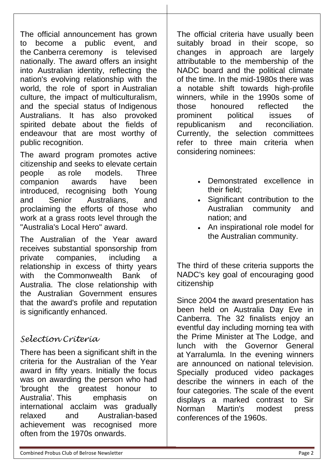The official announcement has grown to become a public event, and the [Canberra](https://en.wikipedia.org/wiki/Canberra) ceremony is televised nationally. The award offers an insight into Australian identity, reflecting the nation's evolving relationship with the world, the role of sport in [Australian](https://en.wikipedia.org/wiki/Australian_culture)  [culture,](https://en.wikipedia.org/wiki/Australian_culture) the impact of [multiculturalism,](https://en.wikipedia.org/wiki/Multiculturalism) and the special status of [Indigenous](https://en.wikipedia.org/wiki/Indigenous_Australians)  [Australians.](https://en.wikipedia.org/wiki/Indigenous_Australians) It has also provoked spirited debate about the fields of endeavour that are most worthy of public recognition.

The award program promotes active citizenship and seeks to elevate certain people as [role models.](https://en.wikipedia.org/wiki/Role_model) Three companion awards have been introduced, recognising both Young and Senior Australians and proclaiming the efforts of those who work at a grass roots level through the ["Australia's Local Hero"](https://en.wikipedia.org/wiki/Australia%27s_Local_Hero) award.

The Australian of the Year award receives substantial sponsorship from private companies, including a relationship in excess of thirty years with the Commonwealth Bank of [Australia.](https://en.wikipedia.org/wiki/Commonwealth_Bank) The close relationship with the Australian Government ensures that the award's profile and reputation is significantly enhanced.

### *Selection Criteria*

There has been a significant shift in the criteria for the Australian of the Year award in fifty years. Initially the focus was on awarding the person who had 'brought the greatest honour to Australia'. This emphasis on international acclaim was gradually relaxed and Australian-based achievement was recognised more often from the 1970s onwards.

The official criteria have usually been suitably broad in their scope, so changes in approach are largely attributable to the membership of the NADC board and the political climate of the time. In the mid-1980s there was a notable shift towards high-profile winners, while in the 1990s some of those honoured reflected the prominent political issues of republicanism and reconciliation. Currently, the selection committees refer to three main criteria when considering nominees:

- Demonstrated excellence in their field;
- Significant contribution to the Australian community and nation; and
- An inspirational role model for the Australian community.

The third of these criteria supports the NADC's key goal of encouraging good citizenship

Since 2004 the award presentation has been held on Australia Day Eve in Canberra. The 32 finalists enjoy an eventful day including morning tea with the Prime Minister at [The Lodge,](https://en.wikipedia.org/wiki/The_Lodge_(Australia)) and lunch with the Governor General at [Yarralumla.](https://en.wikipedia.org/wiki/Government_House,_Canberra) In the evening winners are announced on national television. Specially produced video packages describe the winners in each of the four categories. The scale of the event displays a marked contrast to Sir Norman Martin's modest press conferences of the 1960s.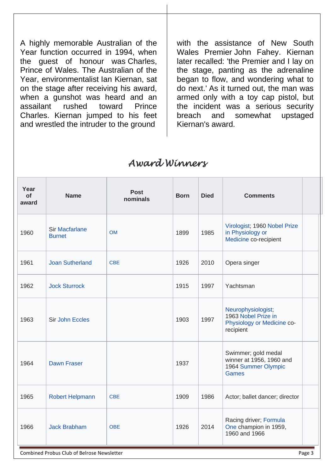A highly memorable Australian of the Year function occurred in 1994, when the guest of honour was [Charles,](https://en.wikipedia.org/wiki/Charles,_Prince_of_Wales)  [Prince of Wales.](https://en.wikipedia.org/wiki/Charles,_Prince_of_Wales) The Australian of the Year, environmentalist [Ian Kiernan,](https://en.wikipedia.org/wiki/Ian_Kiernan) sat on the stage after receiving his award, when a gunshot was heard and an assailant rushed toward Prince Charles. Kiernan jumped to his feet and wrestled the intruder to the ground

with the assistance of New South Wales Premier [John Fahey.](https://en.wikipedia.org/wiki/John_Fahey_(politician)) Kiernan later recalled: 'the Premier and I lay on the stage, panting as the adrenaline began to flow, and wondering what to do next.' As it turned out, the man was armed only with a toy cap pistol, but the incident was a serious security breach and somewhat upstaged Kiernan's award.

### *Award Winners*

| Year<br><b>of</b><br>award | <b>Name</b>                            | <b>Post</b><br>nominals | <b>Born</b>               | <b>Died</b> | <b>Comments</b>                                                                        |
|----------------------------|----------------------------------------|-------------------------|---------------------------|-------------|----------------------------------------------------------------------------------------|
| 1960                       | <b>Sir Macfarlane</b><br><b>Burnet</b> | <b>OM</b>               | 1899                      | 1985        | Virologist; 1960 Nobel Prize<br>in Physiology or<br>Medicine co-recipient              |
| 1961                       | <b>Joan Sutherland</b>                 | <b>CBE</b>              | 1926                      | 2010        | Opera singer                                                                           |
| 1962                       | <b>Jock Sturrock</b>                   |                         | Yachtsman<br>1915<br>1997 |             |                                                                                        |
| 1963                       | <b>Sir John Eccles</b>                 |                         | 1903                      | 1997        | Neurophysiologist;<br>1963 Nobel Prize in<br>Physiology or Medicine co-<br>recipient   |
| 1964                       | <b>Dawn Fraser</b>                     |                         | 1937                      |             | Swimmer; gold medal<br>winner at 1956, 1960 and<br>1964 Summer Olympic<br><b>Games</b> |
| 1965                       | <b>Robert Helpmann</b>                 | <b>CBE</b>              | 1909<br>1986              |             | Actor; ballet dancer; director                                                         |
| 1966                       | <b>Jack Brabham</b>                    | <b>OBE</b>              | 1926                      | 2014        | Racing driver; Formula<br>One champion in 1959,<br>1960 and 1966                       |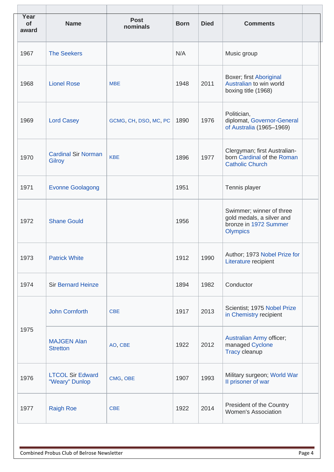| Year<br>of<br>award | <b>Name</b>                                 | <b>Post</b><br>nominals | <b>Born</b>                            | <b>Died</b> | <b>Comments</b>                                                                                   |
|---------------------|---------------------------------------------|-------------------------|----------------------------------------|-------------|---------------------------------------------------------------------------------------------------|
| 1967                | <b>The Seekers</b>                          |                         | N/A                                    |             | Music group                                                                                       |
| 1968                | <b>Lionel Rose</b>                          | <b>MBE</b>              | 1948                                   | 2011        | Boxer; first Aboriginal<br>Australian to win world<br>boxing title (1968)                         |
| 1969                | <b>Lord Casey</b>                           | GCMG, CH, DSO, MC, PC   | Politician,<br>1976<br>1890            |             | diplomat, Governor-General<br>of Australia (1965-1969)                                            |
| 1970                | <b>Cardinal Sir Norman</b><br><b>Gilroy</b> | <b>KBE</b>              | 1977<br>1896<br><b>Catholic Church</b> |             | Clergyman; first Australian-<br>born Cardinal of the Roman                                        |
| 1971                | <b>Evonne Goolagong</b>                     |                         | 1951                                   |             | Tennis player                                                                                     |
| 1972                | <b>Shane Gould</b>                          |                         | 1956                                   |             | Swimmer; winner of three<br>gold medals, a silver and<br>bronze in 1972 Summer<br><b>Olympics</b> |
| 1973                | <b>Patrick White</b>                        |                         | 1912                                   | 1990        | Author; 1973 Nobel Prize for<br>Literature recipient                                              |
| 1974                | <b>Sir Bernard Heinze</b>                   |                         | 1894<br>1982<br>Conductor              |             |                                                                                                   |
|                     | <b>John Cornforth</b>                       | <b>CBE</b>              | 1917                                   | 2013        | Scientist; 1975 Nobel Prize<br>in Chemistry recipient                                             |
| 1975                | <b>MAJGEN Alan</b><br><b>Stretton</b>       | AO, CBE                 | 1922                                   | 2012        | Australian Army officer;<br>managed Cyclone<br><b>Tracy cleanup</b>                               |
| 1976                | <b>LTCOL Sir Edward</b><br>"Weary" Dunlop   | CMG, OBE                | 1907<br>1993<br>Il prisoner of war     |             | Military surgeon; World War                                                                       |
| 1977                | <b>Raigh Roe</b>                            | <b>CBE</b>              | 1922                                   | 2014        | President of the Country<br><b>Women's Association</b>                                            |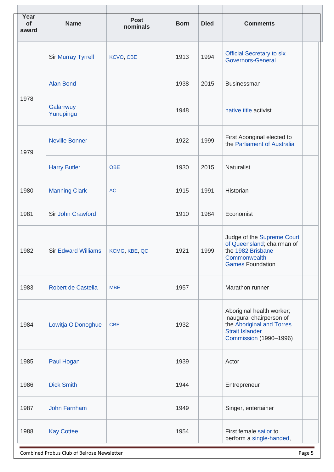| Year<br>of<br>award | <b>Name</b>                | <b>Post</b><br>nominals | <b>Died</b><br><b>Born</b>                                                   |                                                                    | <b>Comments</b>                                                                                              |
|---------------------|----------------------------|-------------------------|------------------------------------------------------------------------------|--------------------------------------------------------------------|--------------------------------------------------------------------------------------------------------------|
|                     | <b>Sir Murray Tyrrell</b>  | <b>KCVO, CBE</b>        | 1994<br>1913<br><b>Governors-General</b>                                     |                                                                    | <b>Official Secretary to six</b>                                                                             |
|                     | <b>Alan Bond</b>           |                         | 1938                                                                         | 2015                                                               | <b>Businessman</b>                                                                                           |
| 1978                | Galarrwuy<br>Yunupingu     |                         | 1948                                                                         |                                                                    | native title activist                                                                                        |
| 1979                | <b>Neville Bonner</b>      |                         | 1922                                                                         | First Aboriginal elected to<br>1999<br>the Parliament of Australia |                                                                                                              |
|                     | <b>Harry Butler</b>        | <b>OBE</b>              | 1930                                                                         | 2015                                                               | Naturalist                                                                                                   |
| 1980                | <b>Manning Clark</b>       | <b>AC</b>               | Historian<br>1915<br>1991                                                    |                                                                    |                                                                                                              |
| 1981                | Sir John Crawford          |                         | 1910                                                                         | 1984                                                               | Economist                                                                                                    |
| 1982                | <b>Sir Edward Williams</b> | KCMG, KBE, QC           | 1921<br>the 1982 Brisbane<br>1999<br>Commonwealth<br><b>Games Foundation</b> |                                                                    | Judge of the Supreme Court<br>of Queensland; chairman of                                                     |
| 1983                | Robert de Castella         | <b>MBE</b>              | Marathon runner<br>1957                                                      |                                                                    |                                                                                                              |
| 1984                | Lowitja O'Donoghue         | <b>CBE</b>              | 1932<br><b>Strait Islander</b>                                               |                                                                    | Aboriginal health worker;<br>inaugural chairperson of<br>the Aboriginal and Torres<br>Commission (1990-1996) |
| 1985                | Paul Hogan                 |                         | 1939<br>Actor                                                                |                                                                    |                                                                                                              |
| 1986                | <b>Dick Smith</b>          |                         | 1944                                                                         |                                                                    | Entrepreneur                                                                                                 |
| 1987                | <b>John Farnham</b>        |                         | 1949                                                                         |                                                                    | Singer, entertainer                                                                                          |
| 1988                | <b>Kay Cottee</b>          |                         | 1954                                                                         |                                                                    | First female sailor to<br>perform a single-handed,                                                           |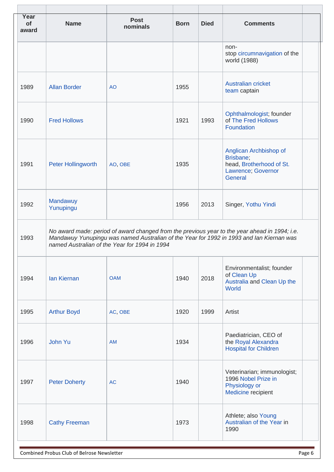| Year<br>of<br>award | <b>Post</b><br><b>Name</b><br>nominals                                                                                                                                                                                                     |                | <b>Born</b>                                                               | <b>Died</b> | <b>Comments</b>                                                                 |  |  |
|---------------------|--------------------------------------------------------------------------------------------------------------------------------------------------------------------------------------------------------------------------------------------|----------------|---------------------------------------------------------------------------|-------------|---------------------------------------------------------------------------------|--|--|
|                     |                                                                                                                                                                                                                                            |                |                                                                           |             | non-<br>stop circumnavigation of the<br>world (1988)                            |  |  |
| 1989                | <b>Allan Border</b>                                                                                                                                                                                                                        | A <sub>O</sub> | 1955                                                                      |             | <b>Australian cricket</b><br>team captain                                       |  |  |
| 1990                | <b>Fred Hollows</b>                                                                                                                                                                                                                        |                | 1921                                                                      | 1993        | Ophthalmologist; founder<br>of The Fred Hollows<br>Foundation                   |  |  |
| 1991                | Brisbane;<br>1935<br>Peter Hollingworth<br>AO, OBE<br>Lawrence; Governor<br>General<br>Mandawuy                                                                                                                                            |                | Anglican Archbishop of<br>head, Brotherhood of St.                        |             |                                                                                 |  |  |
| 1992                | Yunupingu                                                                                                                                                                                                                                  |                | 1956                                                                      | 2013        | Singer, Yothu Yindi                                                             |  |  |
| 1993                | No award made: period of award changed from the previous year to the year ahead in 1994; i.e.<br>Mandawuy Yunupingu was named Australian of the Year for 1992 in 1993 and Ian Kiernan was<br>named Australian of the Year for 1994 in 1994 |                |                                                                           |             |                                                                                 |  |  |
| 1994                | <b>lan Kiernan</b><br><b>OAM</b>                                                                                                                                                                                                           |                | 1940                                                                      | 2018        | Environmentalist; founder<br>of Clean Up<br>Australia and Clean Up the<br>World |  |  |
| 1995                | <b>Arthur Boyd</b>                                                                                                                                                                                                                         | AC, OBE        | 1920                                                                      | 1999        | Artist                                                                          |  |  |
| 1996                | John Yu                                                                                                                                                                                                                                    | <b>AM</b>      | 1934                                                                      |             | Paediatrician, CEO of<br>the Royal Alexandra<br><b>Hospital for Children</b>    |  |  |
| 1997                | <b>Peter Doherty</b>                                                                                                                                                                                                                       | <b>AC</b>      | 1996 Nobel Prize in<br>1940<br>Physiology or<br><b>Medicine recipient</b> |             | Veterinarian; immunologist;                                                     |  |  |
| 1998                | <b>Cathy Freeman</b>                                                                                                                                                                                                                       |                | 1973                                                                      |             | Athlete; also Young<br>Australian of the Year in<br>1990                        |  |  |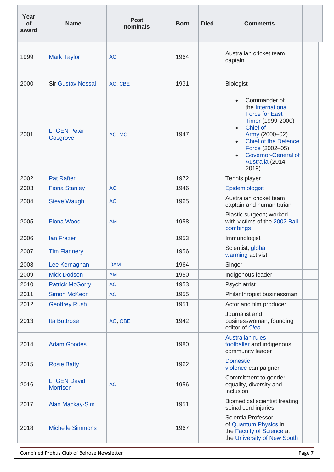| Year<br>of<br>award | <b>Name</b>                           | <b>Post</b><br>nominals | <b>Died</b><br><b>Comments</b><br><b>Born</b>                                                                                                    |                                                                      |                                                                                                         |
|---------------------|---------------------------------------|-------------------------|--------------------------------------------------------------------------------------------------------------------------------------------------|----------------------------------------------------------------------|---------------------------------------------------------------------------------------------------------|
| 1999                | <b>Mark Taylor</b>                    | <b>AO</b>               | Australian cricket team<br>1964<br>captain                                                                                                       |                                                                      |                                                                                                         |
| 2000                | <b>Sir Gustav Nossal</b>              | AC, CBE                 | 1931<br><b>Biologist</b>                                                                                                                         |                                                                      |                                                                                                         |
| 2001                | <b>LTGEN Peter</b><br>Cosgrove        | AC, MC                  | Commander of<br>the International<br><b>Force for East</b><br>Chief of<br>1947<br>Army (2000-02)<br>Force (2002-05)<br>Australia (2014-<br>2019) |                                                                      | Timor (1999-2000)<br><b>Chief of the Defence</b><br><b>Governor-General of</b>                          |
| 2002                | <b>Pat Rafter</b>                     |                         | 1972                                                                                                                                             | Tennis player                                                        |                                                                                                         |
| 2003                | <b>Fiona Stanley</b>                  | <b>AC</b>               | 1946                                                                                                                                             | Epidemiologist                                                       |                                                                                                         |
| 2004                | <b>Steve Waugh</b>                    | <b>AO</b>               | 1965                                                                                                                                             |                                                                      | Australian cricket team<br>captain and humanitarian                                                     |
| 2005                | <b>Fiona Wood</b>                     | <b>AM</b>               | 1958                                                                                                                                             | Plastic surgeon; worked<br>with victims of the 2002 Bali<br>bombings |                                                                                                         |
| 2006                | lan Frazer                            |                         | 1953                                                                                                                                             |                                                                      | Immunologist                                                                                            |
| 2007                | <b>Tim Flannery</b>                   |                         | Scientist; global<br>1956<br>warming activist                                                                                                    |                                                                      |                                                                                                         |
| 2008                | Lee Kernaghan                         | <b>OAM</b>              | 1964                                                                                                                                             |                                                                      | Singer                                                                                                  |
| 2009                | <b>Mick Dodson</b>                    | <b>AM</b>               | 1950                                                                                                                                             |                                                                      | Indigenous leader                                                                                       |
| 2010                | <b>Patrick McGorry</b>                | <b>AO</b>               | 1953                                                                                                                                             |                                                                      | Psychiatrist                                                                                            |
| 2011                | <b>Simon McKeon</b>                   | <b>AO</b>               | 1955                                                                                                                                             |                                                                      | Philanthropist businessman                                                                              |
| 2012                | <b>Geoffrey Rush</b>                  |                         | 1951                                                                                                                                             |                                                                      | Actor and film producer                                                                                 |
| 2013                | <b>Ita Buttrose</b>                   | AO, OBE                 | Journalist and<br>1942<br>editor of Cleo                                                                                                         |                                                                      | businesswoman, founding                                                                                 |
| 2014                | <b>Adam Goodes</b>                    |                         | <b>Australian rules</b><br>1980                                                                                                                  |                                                                      | footballer and indigenous<br>community leader                                                           |
| 2015                | <b>Rosie Batty</b>                    |                         | <b>Domestic</b><br>1962<br>violence campaigner                                                                                                   |                                                                      |                                                                                                         |
| 2016                | <b>LTGEN David</b><br><b>Morrison</b> | <b>AO</b>               | Commitment to gender<br>equality, diversity and<br>1956<br>inclusion                                                                             |                                                                      |                                                                                                         |
| 2017                | <b>Alan Mackay-Sim</b>                |                         | 1951                                                                                                                                             |                                                                      | <b>Biomedical scientist treating</b><br>spinal cord injuries                                            |
| 2018                | <b>Michelle Simmons</b>               |                         | 1967                                                                                                                                             |                                                                      | Scientia Professor<br>of Quantum Physics in<br>the Faculty of Science at<br>the University of New South |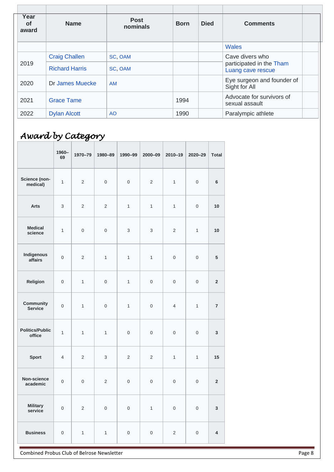| Year<br><b>of</b><br>award | <b>Name</b>           | <b>Post</b><br>nominals | <b>Born</b> | <b>Died</b> | <b>Comments</b>                               |
|----------------------------|-----------------------|-------------------------|-------------|-------------|-----------------------------------------------|
|                            |                       |                         |             |             | <b>Wales</b>                                  |
|                            | <b>Craig Challen</b>  | SC, OAM                 |             |             | Cave divers who                               |
| 2019                       | <b>Richard Harris</b> | SC, OAM                 |             |             | participated in the Tham<br>Luang cave rescue |
| 2020                       | Dr James Muecke       | <b>AM</b>               |             |             | Eye surgeon and founder of<br>Sight for All   |
| 2021                       | <b>Grace Tame</b>     |                         | 1994        |             | Advocate for survivors of<br>sexual assault   |
| 2022                       | <b>Dylan Alcott</b>   | <b>AO</b>               | 1990        |             | Paralympic athlete                            |

# *Award by Category*

|                                  | 1960-<br>69    | 1970-79        | 1980-89             | 1990-99             | $2000 - 09$         | 2010-19             | 2020-29             | <b>Total</b>            |
|----------------------------------|----------------|----------------|---------------------|---------------------|---------------------|---------------------|---------------------|-------------------------|
| Science (non-<br>medical)        | $\mathbf{1}$   | $\overline{2}$ | $\mathsf{O}\xspace$ | $\mathsf{O}\xspace$ | $\overline{2}$      | $\mathbf{1}$        | $\mathsf{O}\xspace$ | $6\phantom{a}$          |
| <b>Arts</b>                      | 3              | $\overline{2}$ | $\overline{2}$      | $\mathbf{1}$        | $\mathbf{1}$        | $\mathbf{1}$        | $\mathbf 0$         | 10                      |
| <b>Medical</b><br>science        | $\mathbf{1}$   | $\mbox{O}$     | $\boldsymbol{0}$    | 3                   | 3                   | $\overline{2}$      | $\mathbf{1}$        | 10                      |
| Indigenous<br>affairs            | $\mathbf 0$    | $\overline{2}$ | $\mathbf{1}$        | 1                   | $\mathbf{1}$        | $\mathsf{O}\xspace$ | $\mathsf{O}\xspace$ | $5\phantom{.0}$         |
| Religion                         | $\mathbf 0$    | $\mathbf{1}$   | $\mathbf 0$         | $\mathbf{1}$        | $\mathsf{O}\xspace$ | $\mathbf 0$         | $\mathbf 0$         | $\mathbf 2$             |
| Community<br><b>Service</b>      | $\mathbf 0$    | $\mathbf{1}$   | $\mathbf 0$         | $\mathbf{1}$        | $\mathbf 0$         | $\overline{4}$      | $\mathbf{1}$        | $\overline{7}$          |
| <b>Politics/Public</b><br>office | $\mathbf{1}$   | $\mathbf{1}$   | $\mathbf{1}$        | $\mathsf{O}\xspace$ | $\mathbf 0$         | $\mathsf{O}\xspace$ | $\mathbf 0$         | $\mathbf 3$             |
| <b>Sport</b>                     | $\overline{4}$ | 2              | 3                   | $\overline{2}$      | 2                   | $\mathbf{1}$        | $\mathbf{1}$        | 15                      |
| Non-science<br>academic          | $\mathbf 0$    | $\mathbf 0$    | $\overline{2}$      | $\mathsf 0$         | $\boldsymbol{0}$    | $\boldsymbol{0}$    | $\mathbf 0$         | $\mathbf 2$             |
| <b>Military</b><br>service       | $\mbox{O}$     | $\mathbf 2$    | $\mathsf{O}\xspace$ | $\mathsf{O}\xspace$ | $\mathbf{1}$        | $\mathsf{O}\xspace$ | $\mathsf{O}\xspace$ | $\mathbf{3}$            |
| <b>Business</b>                  | $\mathbf 0$    | $\mathbf{1}$   | $\mathbf{1}$        | $\mathsf{O}\xspace$ | $\mathsf{O}\xspace$ | $\overline{2}$      | $\mathsf{O}\xspace$ | $\overline{\mathbf{4}}$ |

Combined Probus Club of Belrose Newsletter **Page 8** and 2008 and 2011 and 2012 and 2013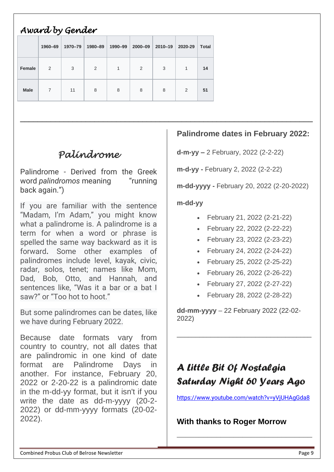| Award by Gender |         |         |         |         |         |         |         |              |  |  |
|-----------------|---------|---------|---------|---------|---------|---------|---------|--------------|--|--|
|                 | 1960-69 | 1970-79 | 1980-89 | 1990-99 | 2000-09 | 2010-19 | 2020-29 | <b>Total</b> |  |  |
| <b>Female</b>   | 2       | 3       | 2       | 1       | 2       | 3       | 1       | 14           |  |  |
| <b>Male</b>     | 7       | 11      | 8       | 8       | 8       | 8       | 2       | 51           |  |  |

# *Palindrome*

Palindrome - Derived from the Greek word *palindromos* meaning "running back again.")

If you are familiar with the sentence "Madam, I'm Adam," you might know what a palindrome is. A palindrome is a term for when a word or phrase is spelled the same way backward as it is forward**.** Some other examples of palindromes include level, kayak, civic, radar, solos, tenet; names like Mom, Dad, Bob, Otto, and Hannah, and sentences like, "Was it a bar or a bat I saw?" or "Too hot to hoot."

But some palindromes can be dates, like we have during February 2022.

Because date formats vary from country to country, not all dates that are palindromic in one kind of date format are Palindrome Days in another. For instance, February 20, 2022 or 2-20-22 is a palindromic date in the m-dd-yy format, but it isn't if you write the date as dd-m-yyyy (20-2- 2022) or dd-mm-yyyy formats (20-02- 2022).

### **Palindrome dates in February 2022:**

**d-m-yy –** 2 February, 2022 (2-2-22)

**m-d-yy -** February 2, 2022 (2-2-22)

**m-dd-yyyy -** February 20, 2022 (2-20-2022)

#### **m-dd-yy**

\_\_\_\_\_\_\_\_\_\_\_\_\_\_\_\_\_\_\_\_\_\_\_\_\_\_\_\_\_\_\_\_\_\_\_\_\_\_\_\_\_\_\_\_\_\_\_\_\_\_\_\_\_\_\_\_\_\_\_\_\_\_\_\_\_\_\_

- February 21, 2022 (2-21-22)
- February 22, 2022 (2-22-22)
- February 23, 2022 (2-23-22)
- February 24, 2022 (2-24-22)
- February 25, 2022 (2-25-22)
- February 26, 2022 (2-26-22)
- February 27, 2022 (2-27-22)
- February 28, 2022 (2-28-22)

**dd-mm-yyyy** – 22 February 2022 (22-02- 2022)

\_\_\_\_\_\_\_\_\_\_\_\_\_\_\_\_\_\_\_\_\_\_\_\_\_\_\_\_\_\_\_\_\_\_\_\_

# *A Little Bit Of Nostalgia Saturday Night 60 Years Ago*

[https://www.youtube.com/watch?v=yVjUHAgGda8](https://apac01.safelinks.protection.outlook.com/?url=https%3A%2F%2Fwww.youtube.com%2Fwatch%3Fv%3DyVjUHAgGda8&data=04%7C01%7C%7Cd544dcf942e3496d641308d9db0c67aa%7C84df9e7fe9f640afb435aaaaaaaaaaaa%7C1%7C0%7C637781668619094045%7CUnknown%7CTWFpbGZsb3d8eyJWIjoiMC4wLjAwMDAiLCJQIjoiV2luMzIiLCJBTiI6Ik1haWwiLCJXVCI6Mn0%3D%7C3000&sdata=d93Z33gD5D3dQzyUfvjXbs9ou09LT4f33CclgnNj%2Fuo%3D&reserved=0)

**\_\_\_\_\_\_\_\_\_\_\_\_\_\_\_\_\_\_\_\_\_\_\_\_\_\_\_\_\_\_\_**

**With thanks to Roger Morrow**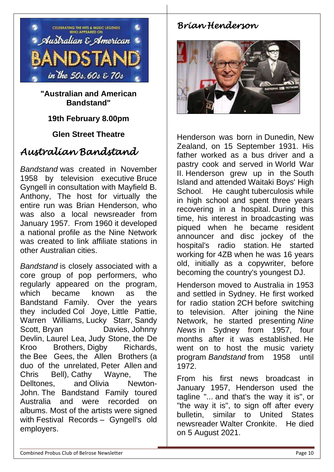

**"Australian and American Bandstand"** 

### **19th February 8.00pm**

### **Glen Street Theatre**

### *Australian Bandstand*

*Bandstand* was created in November 1958 by television executive [Bruce](https://en.wikipedia.org/wiki/Bruce_Gyngell)  [Gyngell](https://en.wikipedia.org/wiki/Bruce_Gyngell) in consultation with Mayfield B. Anthony, The host for virtually the entire run was Brian Henderson, who was also a local newsreader from January 1957. From 1960 it developed a national profile as the Nine Network was created to link affiliate stations in other Australian cities.

*Bandstand* is closely associated with a core group of pop performers, who regularly appeared on the program, which became known as the Bandstand Family. Over the years they included [Col Joye,](https://en.wikipedia.org/wiki/Col_Joye) [Little Pattie,](https://en.wikipedia.org/wiki/Little_Pattie) Warren Williams, [Lucky Starr,](https://en.wikipedia.org/wiki/Lucky_Starr_(singer)) [Sandy](https://en.wikipedia.org/wiki/Sandy_Scott_(singer))  [Scott,](https://en.wikipedia.org/wiki/Sandy_Scott_(singer)) [Bryan Davies,](https://en.wikipedia.org/wiki/Bryan_Davies_(singer)) Johnny [Devlin,](https://en.wikipedia.org/wiki/Johnny_Devlin) [Laurel Lea,](https://en.wikipedia.org/wiki/Laurel_Lea) [Judy Stone,](https://en.wikipedia.org/wiki/Judy_Stone) [the De](https://en.wikipedia.org/wiki/Leo_de_Kroo)  [Kroo Brothers,](https://en.wikipedia.org/wiki/Leo_de_Kroo) [Digby Richards,](https://en.wikipedia.org/wiki/Digby_Richards) the [Bee Gees,](https://en.wikipedia.org/wiki/Bee_Gees) [the Allen Brothers](https://en.wikipedia.org/wiki/The_Allen_Brothers_(Australia)) (a duo of the unrelated, [Peter Allen](https://en.wikipedia.org/wiki/Peter_Allen_(musician)) and Chris Bell), [Cathy Wayne,](https://en.wikipedia.org/wiki/Cathy_Wayne) The Delltones, and [Olivia Newton-](https://en.wikipedia.org/wiki/Olivia_Newton-John)[John.](https://en.wikipedia.org/wiki/Olivia_Newton-John) The Bandstand Family toured Australia and were recorded on albums. Most of the artists were signed with [Festival Records](https://en.wikipedia.org/wiki/Festival_Records) – Gyngell's old employers.

### *Brian Henderson*



Henderson was born in [Dunedin,](https://en.wikipedia.org/wiki/Dunedin) [New](https://en.wikipedia.org/wiki/New_Zealand)  [Zealand,](https://en.wikipedia.org/wiki/New_Zealand) on 15 September 1931. His father worked as a bus driver and a pastry cook and served in [World](https://en.wikipedia.org/wiki/World_War_II) War [II.](https://en.wikipedia.org/wiki/World_War_II) Henderson grew up in the [South](https://en.wikipedia.org/wiki/South_Island)  [Island](https://en.wikipedia.org/wiki/South_Island) and attended [Waitaki Boys' High](https://en.wikipedia.org/wiki/Waitaki_Boys%27_High_School)  [School.](https://en.wikipedia.org/wiki/Waitaki_Boys%27_High_School) He caught [tuberculosis](https://en.wikipedia.org/wiki/Tuberculosis) while in high school and spent three years recovering in a hospital. During this time, his interest in broadcasting was piqued when he became resident announcer and disc jockey of the hospital's radio station. He started working for [4ZB](https://en.wikipedia.org/wiki/4ZB) when he was 16 years old, initially as a copywriter, before becoming the country's youngest DJ.

Henderson moved to Australia in 1953 and settled in Sydney. He first worked for radio station [2CH](https://en.wikipedia.org/wiki/2CH) before switching to television. After joining the [Nine](https://en.wikipedia.org/wiki/Nine_Network)  [Network,](https://en.wikipedia.org/wiki/Nine_Network) he started presenting *[Nine](https://en.wikipedia.org/wiki/Nine_News)  [News](https://en.wikipedia.org/wiki/Nine_News)* in Sydney from 1957, four months after it was established. He went on to host the music variety program *Bandstand* from 1958 until 1972.

From his first news broadcast in January 1957, Henderson used the tagline "... and that's the way it is", or "the way it is", to sign off after every bulletin, similar to United States newsreader [Walter Cronkite.](https://en.wikipedia.org/wiki/Walter_Cronkite) He died on 5 August 2021.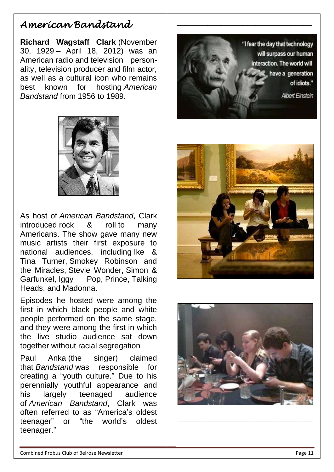### *American Bandstand*

**Richard Wagstaff Clark** (November 30, 1929 – April 18, 2012) was an American [radio](https://en.wikipedia.org/wiki/Radio_personality) and [television person](https://en.wikipedia.org/wiki/Television_personality)[ality,](https://en.wikipedia.org/wiki/Television_personality) television producer and film actor, as well as a cultural icon who remains best known for hosting *[American](https://en.wikipedia.org/wiki/American_Bandstand)  [Bandstand](https://en.wikipedia.org/wiki/American_Bandstand)* from 1956 to 1989.



As host of *[American Bandstand](https://en.wikipedia.org/wiki/American_Bandstand)*, Clark introduced [rock & roll](https://en.wikipedia.org/wiki/Rock_%26_roll) to many Americans. The show gave many new music artists their first exposure to national audiences, including [Ike &](https://en.wikipedia.org/wiki/Ike_%26_Tina_Turner)  [Tina Turner,](https://en.wikipedia.org/wiki/Ike_%26_Tina_Turner) [Smokey Robinson and](https://en.wikipedia.org/wiki/The_Miracles)  [the Miracles,](https://en.wikipedia.org/wiki/The_Miracles) [Stevie Wonder,](https://en.wikipedia.org/wiki/Stevie_Wonder) [Simon &](https://en.wikipedia.org/wiki/Simon_%26_Garfunkel)  [Garfunkel,](https://en.wikipedia.org/wiki/Simon_%26_Garfunkel) [Iggy Pop,](https://en.wikipedia.org/wiki/Iggy_Pop) [Prince,](https://en.wikipedia.org/wiki/Prince_(musician)) Talking [Heads,](https://en.wikipedia.org/wiki/Talking_Heads) and [Madonna.](https://en.wikipedia.org/wiki/Madonna)

Episodes he hosted were among the first in which black people and white people performed on the same stage, and they were among the first in which the live studio audience sat down together without racial segregation

Paul [Anka](https://en.wikipedia.org/wiki/Paul_Anka) (the singer) claimed that *Bandstand* was responsible for creating a "youth culture." Due to his perennially youthful appearance and his largely teenaged audience of *American Bandstand*, Clark was often referred to as "America's oldest teenager" or "the world's oldest teenager."



\_\_\_\_\_\_\_\_\_\_\_\_\_\_\_\_\_\_\_\_\_\_\_\_\_\_\_\_\_\_\_





**\_\_\_\_\_\_\_\_\_\_\_\_\_\_\_\_\_\_\_\_\_\_\_\_\_\_\_\_\_\_\_**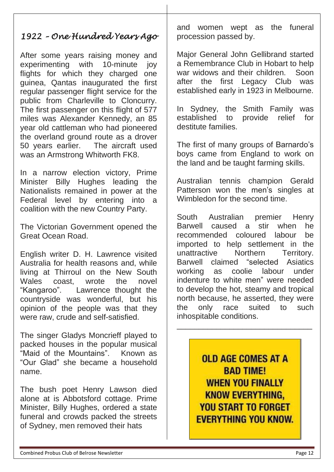*1922 – One Hundred Years Ago* 

After some years raising money and experimenting with 10-minute joy flights for which they charged one guinea, Qantas inaugurated the first regular passenger flight service for the public from Charleville to Cloncurry. The first passenger on this flight of 577 miles was Alexander Kennedy, an 85 year old cattleman who had pioneered the overland ground route as a drover 50 years earlier. The aircraft used was an Armstrong Whitworth FK8.

In a narrow election victory, Prime Minister Billy Hughes leading the Nationalists remained in power at the Federal level by entering into a coalition with the new Country Party.

The Victorian Government opened the Great Ocean Road.

English writer D. H. Lawrence visited Australia for health reasons and, while living at Thirroul on the New South Wales coast, wrote the novel "Kangaroo". Lawrence thought the countryside was wonderful, but his opinion of the people was that they were raw, crude and self-satisfied.

The singer Gladys Moncrieff played to packed houses in the popular musical "Maid of the Mountains". Known as "Our Glad" she became a household name.

The bush poet Henry Lawson died alone at is Abbotsford cottage. Prime Minister, Billy Hughes, ordered a state funeral and crowds packed the streets of Sydney, men removed their hats

and women wept as the funeral procession passed by.

Major General John Gellibrand started a Remembrance Club in Hobart to help war widows and their children. Soon after the first Legacy Club was established early in 1923 in Melbourne.

In Sydney, the Smith Family was established to provide relief for destitute families.

The first of many groups of Barnardo's boys came from England to work on the land and be taught farming skills.

Australian tennis champion Gerald Patterson won the men's singles at Wimbledon for the second time.

South Australian premier Henry Barwell caused a stir when he recommended coloured labour be imported to help settlement in the unattractive Northern Territory. Barwell claimed "selected Asiatics working as coolie labour under indenture to white men" were needed to develop the hot, steamy and tropical north because, he asserted, they were the only race suited to such inhospitable conditions.

> **OLD AGE COMES AT A BAD TIME! WHEN YOU FINALLY KNOW EVERYTHING. YOU START TO FORGET EVERYTHING YOU KNOW.**

\_\_\_\_\_\_\_\_\_\_\_\_\_\_\_\_\_\_\_\_\_\_\_\_\_\_\_\_\_\_\_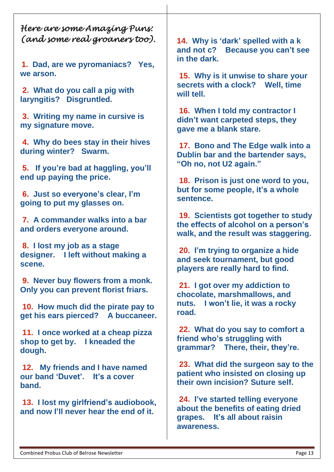*Here are some Amazing Puns: (and some real groaners too).* 

**1. Dad, are we pyromaniacs? Yes, we arson.**

**2. What do you call a pig with laryngitis? Disgruntled.**

**3. Writing my name in cursive is my signature move.**

**4. Why do bees stay in their hives during winter? Swarm.**

**5. If you're bad at haggling, you'll end up paying the price.**

**6. Just so everyone's clear, I'm going to put my glasses on.**

**7. A commander walks into a bar and orders everyone around.**

**8. I lost my job as a stage designer. I left without making a scene.**

**9. Never buy flowers from a monk. Only you can prevent florist friars.**

**10. How much did the pirate pay to get his ears pierced? A buccaneer.**

**11. I once worked at a cheap pizza shop to get by. I kneaded the dough.**

**12. My friends and I have named our band 'Duvet'. It's a cover band.**

**13. I lost my girlfriend's audiobook, and now I'll never hear the end of it.**

**14. Why is 'dark' spelled with a k and not c? Because you can't see in the dark.**

**15. Why is it unwise to share your secrets with a clock? Well, time will tell.**

**16. When I told my contractor I didn't want carpeted steps, they gave me a blank stare.**

**17. Bono and The Edge walk into a Dublin bar and the bartender says, "Oh no, not U2 again."**

**18. Prison is just one word to you, but for some people, it's a whole sentence.**

**19. Scientists got together to study the effects of alcohol on a person's walk, and the result was staggering.**

**20. I'm trying to organize a hide and seek tournament, but good players are really hard to find.**

**21. I got over my addiction to chocolate, marshmallows, and nuts. I won't lie, it was a rocky road.**

**22. What do you say to comfort a friend who's struggling with grammar? There, their, they're.**

**23. What did the surgeon say to the patient who insisted on closing up their own incision? Suture self.**

**24. I've started telling everyone about the benefits of eating dried grapes. It's all about raisin awareness.**